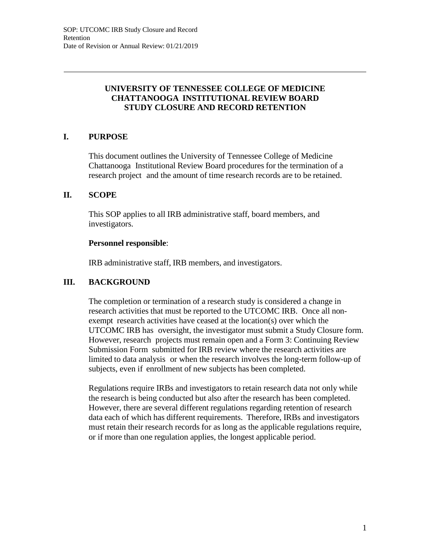# **UNIVERSITY OF TENNESSEE COLLEGE OF MEDICINE CHATTANOOGA INSTITUTIONAL REVIEW BOARD STUDY CLOSURE AND RECORD RETENTION**

# **I. PURPOSE**

This document outlines the University of Tennessee College of Medicine Chattanooga Institutional Review Board procedures for the termination of a research project and the amount of time research records are to be retained.

### **II. SCOPE**

This SOP applies to all IRB administrative staff, board members, and investigators.

### **Personnel responsible**:

IRB administrative staff, IRB members, and investigators.

## **III. BACKGROUND**

The completion or termination of a research study is considered a change in research activities that must be reported to the UTCOMC IRB. Once all nonexempt research activities have ceased at the location(s) over which the UTCOMC IRB has oversight, the investigator must submit a Study Closure form. However, research projects must remain open and a Form 3: Continuing Review Submission Form submitted for IRB review where the research activities are limited to data analysis or when the research involves the long-term follow-up of subjects, even if enrollment of new subjects has been completed.

Regulations require IRBs and investigators to retain research data not only while the research is being conducted but also after the research has been completed. However, there are several different regulations regarding retention of research data each of which has different requirements. Therefore, IRBs and investigators must retain their research records for as long as the applicable regulations require, or if more than one regulation applies, the longest applicable period.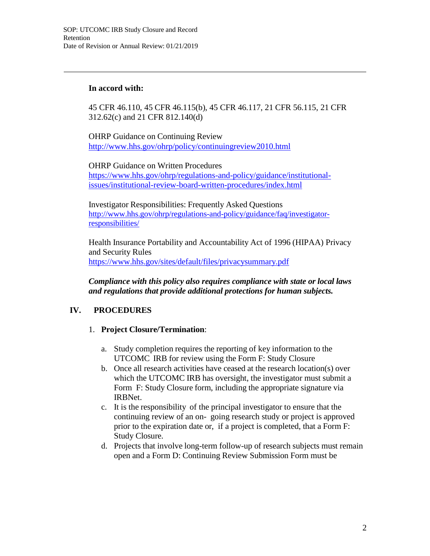### **In accord with:**

45 CFR 46.110, 45 CFR 46.115(b), 45 CFR 46.117, 21 CFR 56.115, 21 CFR 312.62(c) and 21 CFR 812.140(d)

OHRP Guidance on Continuing Review <http://www.hhs.gov/ohrp/policy/continuingreview2010.html>

OHRP Guidance on Written Procedures https:/[/www.hhs.gov/ohrp/regulations-and-policy/guidance/institutional](http://www.hhs.gov/ohrp/regulations-and-policy/guidance/institutional-)issues/institutional-review-board-written-procedures/index.html

Investigator Responsibilities: Frequently Asked Questions [http://www.hhs.gov/ohrp/regulations-and-policy/guidance/faq/investigator](http://www.hhs.gov/ohrp/regulations-and-policy/guidance/faq/investigator-)responsibilities/

Health Insurance Portability and Accountability Act of 1996 (HIPAA) Privacy and Security Rules https:/[/www.hhs.gov/sites/default/files/privacysummary.pdf](http://www.hhs.gov/sites/default/files/privacysummary.pdf)

*Compliance with this policy also requires compliance with state or local laws and regulations that provide additional protections for human subjects.*

# **IV. PROCEDURES**

### 1. **Project Closure/Termination**:

- a. Study completion requires the reporting of key information to the UTCOMC IRB for review using the Form F: Study Closure
- b. Once all research activities have ceased at the research location(s) over which the UTCOMC IRB has oversight, the investigator must submit a Form F: Study Closure form, including the appropriate signature via IRBNet.
- c. It is the responsibility of the principal investigator to ensure that the continuing review of an on- going research study or project is approved prior to the expiration date or, if a project is completed, that a Form F: Study Closure.
- d. Projects that involve long-term follow-up of research subjects must remain open and a Form D: Continuing Review Submission Form must be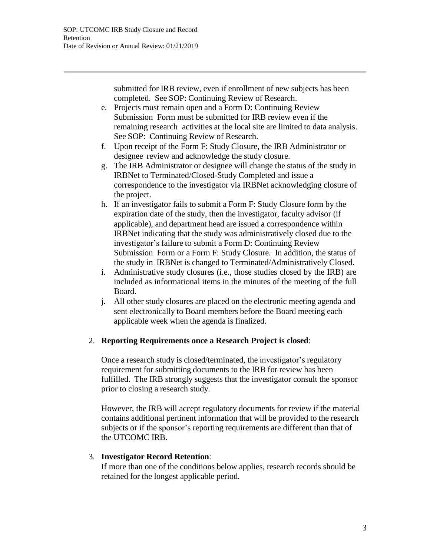submitted for IRB review, even if enrollment of new subjects has been completed. See SOP: Continuing Review of Research.

- e. Projects must remain open and a Form D: Continuing Review Submission Form must be submitted for IRB review even if the remaining research activities at the local site are limited to data analysis. See SOP: Continuing Review of Research.
- f. Upon receipt of the Form F: Study Closure, the IRB Administrator or designee review and acknowledge the study closure.
- g. The IRB Administrator or designee will change the status of the study in IRBNet to Terminated/Closed-Study Completed and issue a correspondence to the investigator via IRBNet acknowledging closure of the project.
- h. If an investigator fails to submit a Form F: Study Closure form by the expiration date of the study, then the investigator, faculty advisor (if applicable), and department head are issued a correspondence within IRBNet indicating that the study was administratively closed due to the investigator's failure to submit a Form D: Continuing Review Submission Form or a Form F: Study Closure. In addition, the status of the study in IRBNet is changed to Terminated/Administratively Closed.
- i. Administrative study closures (i.e., those studies closed by the IRB) are included as informational items in the minutes of the meeting of the full Board.
- j. All other study closures are placed on the electronic meeting agenda and sent electronically to Board members before the Board meeting each applicable week when the agenda is finalized.

### 2. **Reporting Requirements once a Research Project is closed**:

Once a research study is closed/terminated, the investigator's regulatory requirement for submitting documents to the IRB for review has been fulfilled. The IRB strongly suggests that the investigator consult the sponsor prior to closing a research study.

However, the IRB will accept regulatory documents for review if the material contains additional pertinent information that will be provided to the research subjects or if the sponsor's reporting requirements are different than that of the UTCOMC IRB.

### 3. **Investigator Record Retention**:

If more than one of the conditions below applies, research records should be retained for the longest applicable period.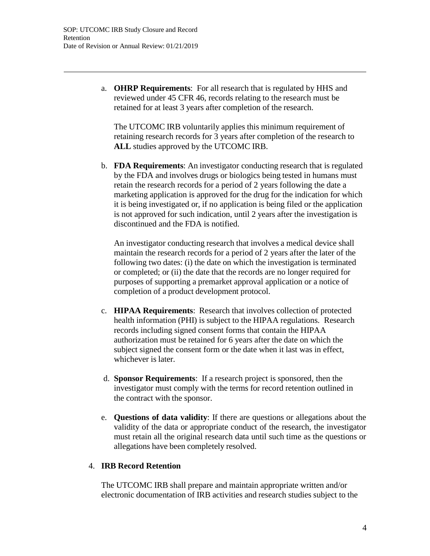a. **OHRP Requirements**: For all research that is regulated by HHS and reviewed under 45 CFR 46, records relating to the research must be retained for at least 3 years after completion of the research.

The UTCOMC IRB voluntarily applies this minimum requirement of retaining research records for 3 years after completion of the research to **ALL** studies approved by the UTCOMC IRB.

b. **FDA Requirements**: An investigator conducting research that is regulated by the FDA and involves drugs or biologics being tested in humans must retain the research records for a period of 2 years following the date a marketing application is approved for the drug for the indication for which it is being investigated or, if no application is being filed or the application is not approved for such indication, until 2 years after the investigation is discontinued and the FDA is notified.

An investigator conducting research that involves a medical device shall maintain the research records for a period of 2 years after the later of the following two dates: (i) the date on which the investigation is terminated or completed; or (ii) the date that the records are no longer required for purposes of supporting a premarket approval application or a notice of completion of a product development protocol.

- c. **HIPAA Requirements**: Research that involves collection of protected health information (PHI) is subject to the HIPAA regulations. Research records including signed consent forms that contain the HIPAA authorization must be retained for 6 years after the date on which the subject signed the consent form or the date when it last was in effect, whichever is later.
- d. **Sponsor Requirements**: If a research project is sponsored, then the investigator must comply with the terms for record retention outlined in the contract with the sponsor.
- e. **Questions of data validity**: If there are questions or allegations about the validity of the data or appropriate conduct of the research, the investigator must retain all the original research data until such time as the questions or allegations have been completely resolved.

### 4. **IRB Record Retention**

The UTCOMC IRB shall prepare and maintain appropriate written and/or electronic documentation of IRB activities and research studies subject to the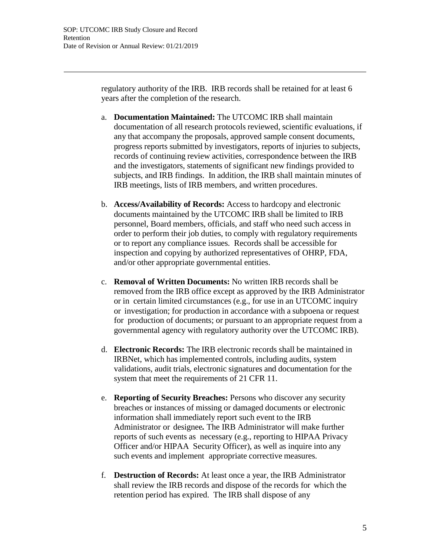regulatory authority of the IRB. IRB records shall be retained for at least 6 years after the completion of the research.

- a. **Documentation Maintained:** The UTCOMC IRB shall maintain documentation of all research protocols reviewed, scientific evaluations, if any that accompany the proposals, approved sample consent documents, progress reports submitted by investigators, reports of injuries to subjects, records of continuing review activities, correspondence between the IRB and the investigators, statements of significant new findings provided to subjects, and IRB findings. In addition, the IRB shall maintain minutes of IRB meetings, lists of IRB members, and written procedures.
- b. **Access/Availability of Records:** Access to hardcopy and electronic documents maintained by the UTCOMC IRB shall be limited to IRB personnel, Board members, officials, and staff who need such access in order to perform their job duties, to comply with regulatory requirements or to report any compliance issues. Records shall be accessible for inspection and copying by authorized representatives of OHRP, FDA, and/or other appropriate governmental entities.
- c. **Removal of Written Documents:** No written IRB records shall be removed from the IRB office except as approved by the IRB Administrator or in certain limited circumstances (e.g., for use in an UTCOMC inquiry or investigation; for production in accordance with a subpoena or request for production of documents; or pursuant to an appropriate request from a governmental agency with regulatory authority over the UTCOMC IRB).
- d. **Electronic Records:** The IRB electronic records shall be maintained in IRBNet, which has implemented controls, including audits, system validations, audit trials, electronic signatures and documentation for the system that meet the requirements of 21 CFR 11.
- e. **Reporting of Security Breaches:** Persons who discover any security breaches or instances of missing or damaged documents or electronic information shall immediately report such event to the IRB Administrator or designee*.* The IRB Administrator will make further reports of such events as necessary (e.g., reporting to HIPAA Privacy Officer and/or HIPAA Security Officer), as well as inquire into any such events and implement appropriate corrective measures.
- f. **Destruction of Records:** At least once a year, the IRB Administrator shall review the IRB records and dispose of the records for which the retention period has expired. The IRB shall dispose of any